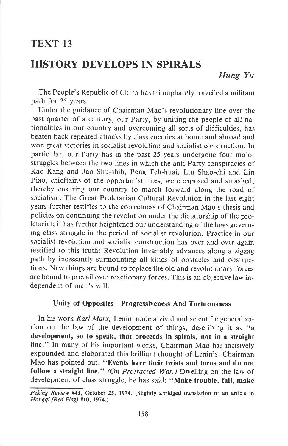# TEXT <sup>13</sup>

# HISTORY DEVELOPS IN SPIRALS

Hung Yu

The People's Republic of China has triumphantly travelled a militant path for 25 years.

Under the guidance of Chairman Mao's revolutionary line over the past quarter of a century, our Party, by uniting the people of all nationalities in our country and overcoming all sorts of difficulties, has beaten back repeated attacks by class enemies at home and abroad and won great victories in socialist revolution and socialist construction. In particular, our Party has in the past 25 years undergone four major struggles between the two lines in which the anti-Party conspiracies of Kao Kang and Jao Shu-shih, Peng Teh-huai, Liu Shao-chi and Lin Piao, chieftains of the opportunist lines, were exposed and smashed, thereby ensuring our country to march forward along the road of socialism. The Great Proletarian Cultural Revolution in the last eight years further testifies to the correctness of Chairman Mao's thesis and policies on continuing the revolution under the dictatorship of the proletariat; it has further heightened our understanding of the laws governing class struggle in the period of socialist revolution. Practice in our socialist revolution and socialist construction has over and over again testified to this truth: Revolution invariably advances along a zigzag path by incessantly surmounting all kinds of obstacles and obstructions. New things are bound to replace the old and revolutionary forces are bound to prevail over reactionary forces. This is an objective law independent of man's will.

## Unity of Opposites-Progressiveness And Tortuousness

In his work *Karl Marx*, Lenin made a vivid and scientific generalization on the law of the development of things, describing it as "a development, so to speak, that proceeds in spirals, not in a straight line." In many of his important works, Chairman Mao has incisively expounded and elaborated this brilliant thought of Lenin's. Chairman Mao has pointed out: "Events have their twists and turns and do not follow a straight line." (On Protracted War.) Dwelling on the law of development of class struggle, he has said: "Make trouble, fail, make

Peking Review #43, October 25, 1974. (Slightly abridged translation of an article in Hongqi [Red Flag] #10, 1974.)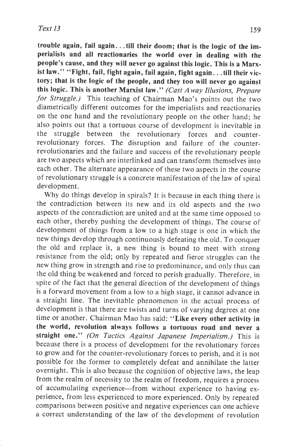trouble again, fail again...till their doom; that is the logic of the imperialists and all reactionaries the world over in dealing with the people's cause, and they will never go against this logic. This is a Marxist law." "Fight, fail, fight again, fail again, fight again. . . till their victory; that is the logic of the people, and they too will never go against this logic. This is another Marxist law." (Cast Away Illusions, Prepare for Struggle.) This teaching of Chairman Mao's points out the two diametrically different outcomes for the imperialists and reactionaries on the one hand and the revolutionary people on the other hand; he also points out that a tortuous course of development is inevitable in<br>the struggle between the revolutionary forces and counterbetween the revolutionary forces and counterrevolutionary forces. The disruption and failure of the counterrevolutionaries and the failure and success of the revolutionary people are two aspects which are interlinked and can transform themselves into each other. The alternate appearance of these two aspects in the course of revolutionary struggle is a concrete manifestation of the law of spiral development.

Why do things develop in spirals? It is because in each thing there is the contradiction between its new and its old aspects and the two aspects of the contradiction are united and at the same time opposed to each other, thereby pushing the development of things. The course of development of things from a low to a high stage is one in which the new things develop through continuously defeating the old. To conquer the old and replace it, a new thing is bound to meet with strong resistance from the old; only by repeated and fierce struggles can the new thing grow in strength and rise to predominance, and only thus can the old thing be weakened and forced to perish gradually. Therefore, in spite of the fact that the general direction of the development of things is a forward movement from a low to a high stage, it cannot advance in a straight line. The inevitable phenomenon in the actual process of development is that there are twists and turns of varying degrees at one time or another. Chairman Mao has said: "Like every other activity in the world, revolution always follows a tortuous road and neyer <sup>a</sup> straight one." (On Tactics Against Japanese Imperialism.) This is because there is a process of development for the revolutionary forces to grow and for the counter-revolutionary forces to perish, and it is not possible for the former to completely defeat and annihilate the latter overnight. This is also because the cognition of objective laws, the leap from the realm of necessity to the realm of freedom, requires a process of accumulating experience-from without experience to having experience, from less experienced to more experienced. Only by repeated comparisons between positive and negative experiences can one achieve a correct understanding of the law of the development of revolution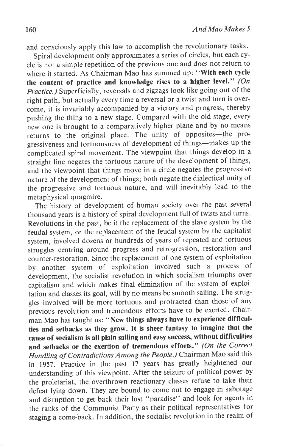and consciously apply this law to accomplish the revolutionary tasks.

Spiral development only approximates a series of circles, but each cycle is not a simple repetition of the previous one and does not return to where it started. As Chairman Mao has summed up: "With each cycle the content of practice and knowledge rises to a higher level." (On Practice.) Superficially, reversals and zigzags look like going out of the right path, but actually every time a reversal or a twist and turn is overcome, it is invariably accompanied by a victory and progress, thereby pushing the thing to a new stage. Compared with the old stage, every new one is brought to a comparatively higher plane and by no means returns to the original place. The unity of opposites-the progressiveness and tortuousness of development of things-makes up the complicated spiral movement. The viewpoint that things develop in <sup>a</sup> straight line negates the tortuous nature of the development of things, and the viewpoint that things move in a circle negates the progressive nature of the development of things; both negate the dialectical unity of the progressive and tortuous nature, and will inevitably lead to the metaphysical quagmire.

The history of development of human society over the past several thousand years is a history of spiral development full of twists and turns. Revolutions in the past, be it the replacement of the slave system by the feudal system, or the replacement of the feudal system by the capitalist system, involved dozens or hundreds of years of repeated and tortuous struggles centring around progress and retrogression, restoration and counter-restoration. Since the replacement of one system of exploitation by another system of exploitation involved such a process of development, the socialist revolution in which socialism triumphs over capitalism and which makes final elimination of the system of exploitation and classes its goal, will by no means be smooth sailing. The struggles involved will be more tortuous and protracted than those of any previous revolution and tremendous efforts have to be exerted. Chairman Mao has taught us: "New things always have to experience difficulties and setbacks as they grow. It is sheer fantasy to imagine that the cause of socialism is all plain sailing and easy success, without difficulties and setbacks or the exertion of tremendous efforts." (On the Correct Handling of Contradictions Among the People.) Chairman Mao said this in 1957. Practice in the past 17 years has greatly heightened our understanding of this viewpoint, After the seizure of political power by the proletariat, the overthrown reactionary classes refuse to take their defeat lying down. They are bound to come out to engage in sabotage and disruption to get back their lost "paradise" and look for agents in the ranks of the Communist Party as their political representatives for staging a come-back. In addition, the socialist revolution in the realm of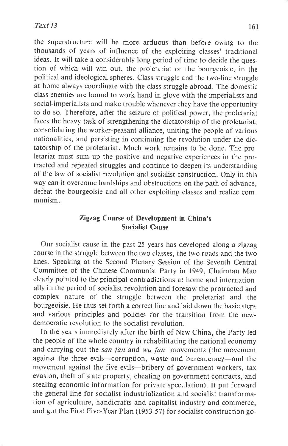the superstructure will be more arduous than before owing to the thousands of years of influence of the exploiting classes' traditional ideas. It will take a considerably long period of time to decide the question of which will win out, the proletariat or the bourgeoisie, in the political and ideological spheres. Class struggle and the two-line struggle at home always coordinate with the class struggle abroad. The domestic class enemies are bound to work hand in glove with the imperialists and social-imperialists and make trouble whenever they have the opportunity to do so. Therefore, after the seizure of political power, the proletariat faces the heavy task of strengthening the dictatorship of the proletariat, consolidating the worker-peasant alliance, uniting the people of various nationalities, and persisting in continuing the revolution under the dictatorship of the proletariat. Much work remains to be done. The proletariat must sum up the positive and negative experiences in the protracted and repeated struggles and continue to deepen its understanding of the law of socialist revolution and socialist construction. Only in this way can it overcome hardships and obstructions on the path of advance, defeat the bourgeoisie and all other exploiting classes and realize communism.

#### Zigzag Course of Development in China's Socialist Cause

Our socialist cause in the past 25 years has developed along a zigzag course in the struggle between the two classes, the two roads and the two lines. Speaking at the Second Plenary Session of the Seventh Central Committee of the Chinese Communist Party in 1949, Chairman Mao clearly pointed to the principal contradictions at home and internationally in the period of socialist revolution and foresaw the protracted and complex nature of the struggle between the proletariat and the bourgeoisie. He thus set forth a correct line and laid down the basic steps and various principles and policies for the transition from the newdemocratic revolution to the socialist revolution.

In the years immediately after the birth of New China, the Party led the people of the whole country in rehabilitating the national economy and carrying out the *san fan* and *wu fan* movements (the movement against the three evils-corruption, waste and bureaucracy-and the movement against the five evils—bribery of government workers, tax evasion, theft of state property, cheating on government contracts, and stealing economic information for private speculation). It put forward the general line for socialist industrialization and socialist transformation of agriculture, handicrafts and capitalist industry and commerce, and got the First Five-Year Plan (1953-57) for socialist construction go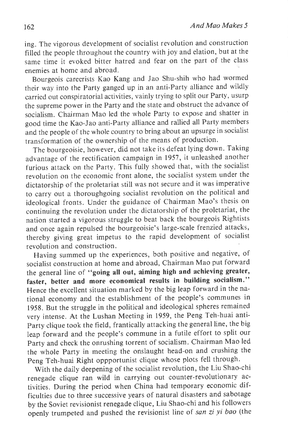ing. The vigorous development of socialist revolution and construction filled the people throughout the country with joy and elation, but at the same time it evoked bitter hatred and fear on the part of the class enemies at home and abroad.

Bourgeois careerists Kao Kang and Jao Shu-shih who had wormed their way into the Party ganged up in an anti-Party alliance and wildly carried out conspiratorial activities, vainly trying to split our Party, usurp the supreme power in the Party and the state and obstruct the advance of socialism. Chairman Mao led the whole Party to expose and shatter in good time the Kao-Jao anti-Party alliance and rallied all Party members and the people of the whole country to bring about an upsurge in socialist transformation of the ownership of the means of production.

The bourgeoisie, however, did not take its defeat lying down. Taking advantage of the rectification campaign in 1957, it unleashed another furious attack on the Party. This fully showed that, with the socialist revolution on the economic front alone, the socialist system under the dictatorship of the proletariat still was not secure and it was imperative to carry out a thoroughgoing socialist revolution on the political and ideological fronts. Under the guidance of Chairman Mao's thesis on continuing the revolution under the dictatorship of the proletariat, the nation started a vigorous struggle to beat back the bourgeois Rightists and once again repulsed the bourgeoisie's large-scale frenzied attacks, thereby giving great impetus to the rapid development of socialist revolution and construction.

Having summed up the experiences, both positive and negative, of socialist construction at home and abroad, Chairman Mao put forward the general line of "going all out, aiming high and achieving greater, faster, better and more economical results in building socialism." Hence the excellent situation marked by the big leap forward in the national economy and the establishment of the people's communes in 1958. But the struggle in the political and ideological spheres remained very intense, At the Lushan Meeting in 1959, the Peng Teh-huai anti-Party clique took the field, frantically attacking the general line, the big Ieap forward and the people's commune in a futile effort to split our Party and check the onrushing torrent of socialism. chairman Mao led the whole Party in meeting the onslaught head-on and crushing the Peng Teh-huai Right oppportunist clique whose plots fell through.

With the daily deepening of the socialist revolution, the Liu Shao-chi renegade clique ran wild in carrying out counter-revolutionary activities. During the period when China had temporary economic difficulties due to three successive years of natural disasters and sabotage by the Soviet revisionist renegade clique, Liu Shao-chi and his followers openly trumpeted and pushed the revisionist line of san zi yi bao (the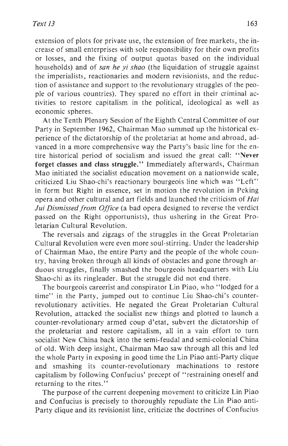extension of plots for private use, the extension of free markets, the increase of small enterprises with sole responsibility for their own profits or losses, and the fixing of output quotas based on the individual households) and of san he yi shao (the liquidation of struggle against the imperialists, reactionaries and modern revisionists, and the reduction of assistance and support to the revolutionary struggles of the people of various countries). They spared no effort in their criminal activities to restore capitalism in the political, ideological as well as economic spheres.

At the Tenth Plenary Session of the Eighth Central Committee of our Party in September 1962, Chairman Mao summed up the historical experience of the dictatorship of the proletariat at home and abroad, advanced in a more comprehensive way the Party's basic line for the entire historical period of socialism and issued the great call: "Never forget classes and class struggle." Immediately afterwards, Chairman Mao initiated the socialist education movement on a nationwide scale, criticized Liu Shao-chi's reactionary bourgeois line which was "Left" in form but Right in essence, set in motion the revolution in Peking opera and other cultural and art fields and launched the criticism of Hoi Jui Dismissed from Office (a bad opera designed to reverse the verdict passed on the Right opportunists), thus ushering in the Great Proletarian Cultural Revolution.

The reversals and zigzags of the struggles in the Creat Proletarian Cultural Revolution were even more soul-stirring. Under the leadership of Chairman Mao, the entire Party and the people of the whole country, having broken through all kinds of obstacles and gone through arduous struggles, finally smashed the bourgeois headquarters with Liu Shao-chi as its ringleader. But the struggle did not end there.

The bourgeois careerist and conspirator Lin Piao, who "lodged for a time" in the Party, jumped out to continue Liu Shao-chi's counterrevolutionary activities. He negated the Great Proletarian Cultural Revolution, attacked the socialist new things and plotted to launch <sup>a</sup> counter-revolutionary armed coup d'etat, subvert the dictatorship of the proletariat and restore capitalism, all in a vain effort to turn socialist New China back into the semi-feudal and semi-colonial China of old. With deep insight, Chairman Mao saw through all this and led the whoie Party in exposing in good time the Lin Piao anti-Party clique and smashing its counter-revolutionary machinations to restore capitalism by following Confucius' precept of "restraining oneself and returning to the rites."

The purpose of the current deepening movement to criticize Lin Piao and Confucius is precisely to thoroughly repudiate the Lin Piao anti-Party clique and its revisionist line, criticize the doctrines of Confucius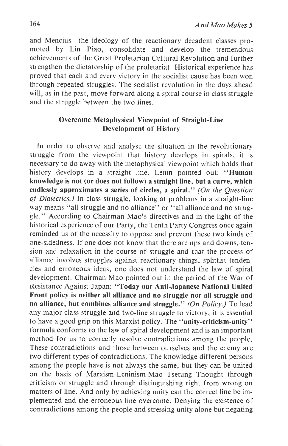and Mencius-the ideology of the reactionary decadent classes promoted by Lin Piao, consolidate and develop the tremendous achievements of the Great Proletarian Cultural Revolution and further strengthen the dictatorship of the proletariat. Historical experience has proved that each and every victory in the socialist cause has been won through repeated struggles. The socialist revolution in the days ahead will, as in the past, move forward along a spiral course in class struggle and the struggle between the two Iines.

#### Overcome Metaphysical Yiewpoint of Straight-Line Development of History

In order to observe and analyse the situation in the revolutionary struggle from the viewpoint that history develops in spirals, it is necessary to do away with the metaphysical viewpoint which holds that history develops in a straight line. Lenin pointed out: "Human" knowledge is not (or does not follow) a straight line, but a curve, which endlessly approximates a series of circles, a spiral." (On the Question of Dialectics./ In class struggle, looking at problems in a straight-line way means "all struggle and no alliance" or "all alliance and no struggle." According to Chairman Mao's directives and in the light of the historical experience of our Party, the Tenth Party Congress once again reminded us of the necessity to oppose and prevent these two kinds of one-sidedness. If one does not know that there are ups and downs, tension and relaxation in the course of struggle and that the process of alliance involves struggles against reactionary things, splittist tendencies and erroneous ideas, one does not understand the law of spiral development. Chairman Mao pointed out in the period of the War of Resistance Against Japan: "Today our Anti-Japanese National United Front policy is neither all alliance and no struggle nor all struggle and no alliance, but combines alliance and struggle." (On Policy.) To lead any major class struggle and two-line struggle to victory, it is essential to have a good grip on this Marxist policy. The "unity-criticism-unity" formula conforms to the law of spiral development and is an important method for us to correctly resolve contradictions among the people. These contradictions and those between ourselves and the enemy are two different types of contradictions. The knowledge different persons among the people have is not always the same, but they can be united on the basis of Marxism-Leninism-Mao Tsetung Thought through criticism or struggle and through distinguishing right from wrong on matters of line. And only by achieving unity can the correct line be implemented and the erroneous line overcome. Denying the existence of contradictions among the people and stressing unity alone but negating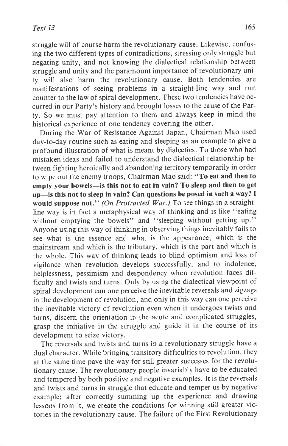struggle will of course harm the revolutionary cause. Likewise, confusing the two different types of contradictions, stressing only struggle but negating unity, and not knowing the dialectical relationship between struggle and unity and the paramount importance of revolutionary unity will also harm the revolutionary cause. Both tendencies are manifestations of seeing problems in a straight-line way and run counter to the law of spiral development. These two tendencies have occurred in our Party's history and brought losses to the cause of the Party. So we must pay attention to them and always keep in mind the historical experience of one tendency covering the other.

During the War of Resistance Against Japan, Chairman Mao used day-to-day routine such as eating and sleeping as an example to give <sup>a</sup> profound illustration of what is meant by dialectics. To those who had mistaken ideas and failed to understand the dialectical relationship between fighting heroically and abandoning territory temporarily in order to wipe out the enemy troops, Chairman Mao said: "To eat and then to empty your bowels- is this not to eat in vain? To sleep and then to get up-is this not to sleep in vain? Can questions be posed in such a way? I would suppose not." (On Protracted War.) To see things in a straightline way is in fact a metaphysical way of thinking and is like "eating without emptying the bowels" and "sleeping without getting up." Anyone using this way of thinking in observing things inevitably fails to see what is the essence and what is the appearance, which is the mainstream and which is the tributary, which is the part and which is the whole. This way of thinking leads to blind optimism and loss of vigilance when revolution develops successfully, and to indolence, helplessness, pessimism and despondency when revolution faces difficulty and twists and turns. Only by using the dialectical viewpoint of spiral development can one perceive the inevitable reversals and zigzags in the development of revolution, and only in this way can one perceive the inevitable victory of revolution even when it undergoes twists and turns, discern the orientation in the acute and complicated struggles, grasp the initiative in the struggle and guide it in the course of its development to seize victory.

The reversals and twists and turns in a revolutionary struggle have <sup>a</sup> dual character. While bringing transitory difficulties to revolution, they at the same time pave the way for still greater successes for the revolutionary cause. The revolutionary people invariably have to be educated and tempered by both positive and negative examples. It is the reversals and twists and turns in struggle that educate and temper us by negative example; after correctly summing up the experience and drawing lessons from it, we create the conditions for winning still greater victories in the revolutionary cause. The failure of the First Revolutionary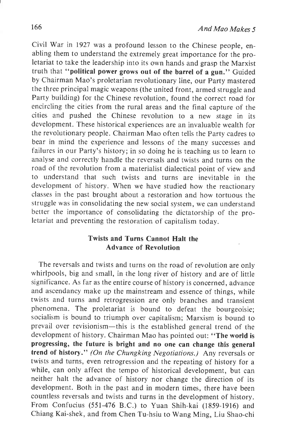Civil War in 1927 was a profound lesson to the Chinese people, enabling them to understand the extremely great importance for the proletariat to take the leadership into its own hands and grasp the Marxist truth that "political power grows out of the barrel of a gun." Guided by Chairman Mao's proletarian revolutionary line, our Party mastered the three principal magic weapons (the united front, armed struggle and Party building) for the Chinese revolution, found the correct road for encircling the cities from the rural areas and the final capture of the cities and pushed the Chinese revolution to a new stage in its development. These historical experiences are an invaluable wealth for the revolutionary people. Chairman Mao often tells the Party cadres to bear in mind the experience and lessons of the many successes and failures in our Party's history; in so doing he is teaching us to learn to analyse and correctly handle the reversals and twists and turns on the road of the revolution from a materialist dialectical point of view and to understand that such twists and turns are inevitable in the development of history. When we have studied how the reactionary classes in the past brought about a restoration and how tortuous the struggle was in consolidating the new social system, we can understand better the importance of consolidating the dictatorship of the proletariat and preventing the restoration of capitalism today.

### Twists and Turns Cannot Halt the Advance of Revolution

The reversals and twists and turns on the road of revolution are only whirlpools, big and small, in the long river of history and are of little significance. As far as the entire course of history is concerned, advance and ascendancy make up the mainstream and essence of things, while twists and turns and retrogression are only branches and transient phenomena. The proletariat is bound to defeat the bourgeoisie; socialism is bound to triumph over capitalism; Marxism is bound to prevail over revisionism-this is the established general trend of the development of history. Chairman Mao has pointed out: "The world is progressing, the future is bright and no one can change this general trend of history." (On the Chungking Negotiations./ Any reversals or twists and turns, even retrogression and the repeating of history for <sup>a</sup> while, can only affect the tempo of historical development, but can neither halt the advance of history nor change the direction of its development. Both in the past and in modern times, there have been countless reversals and twists and turns in the development of history. From Confucius (551-476 B.C.) to Yuan Shih-kai (1859-1916) and Chiang Kai-shek, and fiom Chen Tu-hsiu to Wang Ming, Liu Shao-chi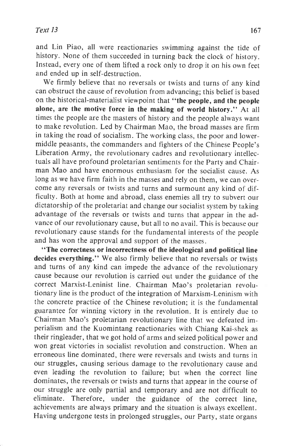and Lin Piao, all were reactionaries swimming against the tide of history. None of them succeeded in turning back the clock of history. Instead, every one of them lifted a rock only to drop it on his own feet and ended up in self-destruction.

We firmly believe that no reversals or twists and turns of any kind can obstruct the cause of revolution from advancing; this belief is based on the historical-materialist viewpoint that "the people, and the people alone, are the motive force in the making of world history." At all times the people are the masters of history and the people always want to make revolution. Led by Chairman Mao, the broad masses are firm in taking the road of socialism. The working class, the poor and lowermiddle peasants, the commanders and fighters of the Chinese People's Liberation Army, the revolutionary cadres and revolutionary intellectuals all have profound proletarian sentiments for the Party and Chairman Mao and have enormous enthusiasm for the socialist cause. As long as we have firm faith in the masses and rely on them, we can overcome any reversals or twists and turns and surmount any kind of difficulty. Both at home and abroad, class enemies all try to subvert our dictatorship of the proletariat and change our socialist system by taking advantage of the reversals or twists and turns that appear in the advance of our revolutionary cause, but all to no avail. This is because our revolutionary cause stands for the fundamental interests of the people and has won the approval and surpport of the masses.

"The correctness or incorrectness of the ideological and political line decides everything." We also firmly believe that no reversals or twists and turns of any kind can impede the advance of the revolutionary cause because our revolution is carried out under the guidance of the correct Marxist-Leninist line. Chairman Mao's proletarian revolutionary line is the product of the integration of Marxism-Leninism with the concrete practice of the Chinese revolution; it is the fundamental guarantee for winning victory in the revolution. It is entirely due to Chairman Mao's proletarian revolutionary line that we defeated imperialism and the Kuomintang reactionaries with Chiang Kai-shek as their ringleader, that we got hold of arms and seized political power and won great victories in socialist revolution and construction. When an erroneous line dominated, there were reversals and twists and turns in our struggles, causing serious damage to the revolutionary cause and even leading the revolution to failure; but when the correct line dominates, the reversals or twists and turns that appear in the course of our struggle are only partial and temporary and are not difficult to eliminate. Therefore, under the guidance of the correct line, achievements are always primary and the situation is always excellent. Having undergone tests in prolonged struggles, our Party, state organs